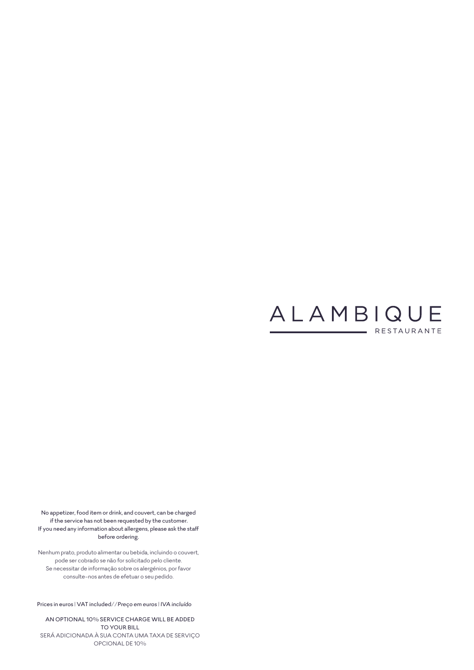

No appetizer, food item or drink, and couvert, can be charged if the service has not been requested by the customer. If you need any information about allergens, please ask the staff before ordering.

Nenhum prato, produto alimentar ou bebida, incluindo o couvert, pode ser cobrado se não for solicitado pelo cliente. Se necessitar de informação sobre os alergénios, por favor consulte-nos antes de efetuar o seu pedido.

Prices in euros | VAT included//*Preço em euros | IVA incluído*

AN OPTIONAL 10% SERVICE CHARGE WILL BE ADDED TO YOUR BILL SERÁ ADICIONADA À SUA CONTA UMA TAXA DE SERVIÇO OPCIONAL DE 10%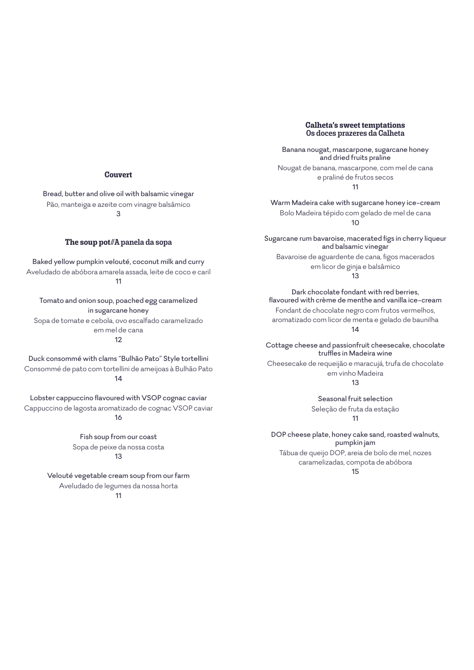### **Couvert**

Bread, butter and olive oil with balsamic vinegar Pão, manteiga e azeite com vinagre balsâmico 3

### **The soup pot**//A panela da sopa

Baked yellow pumpkin velouté, coconut milk and curry Aveludado de abóbora amarela assada, leite de coco e caril 11

Tomato and onion soup, poached egg caramelized in sugarcane honey Sopa de tomate e cebola, ovo escalfado caramelizado em mel de cana 12

Duck consommé with clams "Bulhão Pato" Style tortellini Consommé de pato com tortellini de ameijoas à Bulhão Pato 14

Lobster cappuccino flavoured with VSOP cognac caviar Cappuccino de lagosta aromatizado de cognac VSOP caviar 16

> Fish soup from our coast Sopa de peixe da nossa costa 13

Velouté vegetable cream soup from our farm Aveludado de legumes da nossa horta 11

**Calheta's sweet temptations** Os doces prazeres da Calheta

Banana nougat, mascarpone, sugarcane honey and dried fruits praline Nougat de banana, mascarpone, com mel de cana e praliné de frutos secos 11

Warm Madeira cake with sugarcane honey ice-cream Bolo Madeira tépido com gelado de mel de cana 10

Sugarcane rum bavaroise, macerated figs in cherry liqueur and balsamic vinegar Bavaroise de aguardente de cana, figos macerados em licor de ginja e balsâmico

13

Dark chocolate fondant with red berries, flavoured with crème de menthe and vanilla ice-cream Fondant de chocolate negro com frutos vermelhos, aromatizado com licor de menta e gelado de baunilha 14

Cottage cheese and passionfruit cheesecake, chocolate truffles in Madeira wine

Cheesecake de requeijão e maracujá, trufa de chocolate em vinho Madeira 13

Seasonal fruit selection Seleção de fruta da estação

11

DOP cheese plate, honey cake sand, roasted walnuts, pumpkin jam Tábua de queijo DOP, areia de bolo de mel, nozes caramelizadas, compota de abóbora

15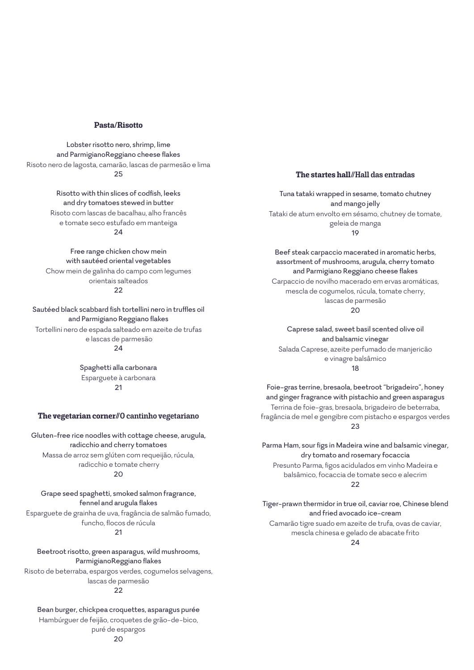### **Pasta/Risotto**

Lobster risotto nero, shrimp, lime and ParmigianoReggiano cheese flakes Risoto nero de lagosta, camarão, lascas de parmesão e lima  $25$ 

> Risotto with thin slices of codfish, leeks and dry tomatoes stewed in butter Risoto com lascas de bacalhau, alho francês e tomate seco estufado em manteiga 24

Free range chicken chow mein with sautéed oriental vegetables Chow mein de galinha do campo com legumes orientais salteados  $22$ 

Sautéed black scabbard fish tortellini nero in truffles oil and Parmigiano Reggiano flakes Tortellini nero de espada salteado em azeite de trufas e lascas de parmesão

## $24$

Spaghetti alla carbonara Esparguete à carbonara 21

**The vegetarian corner//**O cantinho vegetariano

Gluten-free rice noodles with cottage cheese, arugula, radicchio and cherry tomatoes Massa de arroz sem glúten com requeijão, rúcula, radicchio e tomate cherry

### $20$

Grape seed spaghetti, smoked salmon fragrance, fennel and arugula flakes Esparguete de grainha de uva, fragância de salmão fumado,

funcho, flocos de rúcula  $21$ 

Beetroot risotto, green asparagus, wild mushrooms, ParmigianoReggiano flakes

Risoto de beterraba, espargos verdes, cogumelos selvagens, lascas de parmesão

# $22$

Bean burger, chickpea croquettes, asparagus purée Hambúrguer de feijão, croquetes de grão-de-bico, puré de espargos

### **The startes hall**//Hall das entradas

Tuna tataki wrapped in sesame, tomato chutney and mango jelly Tataki de atum envolto em sésamo, chutney de tomate, geleia de manga 19

Beef steak carpaccio macerated in aromatic herbs, assortment of mushrooms, arugula, cherry tomato and Parmigiano Reggiano cheese flakes Carpaccio de novilho macerado em ervas aromáticas, mescla de cogumelos, rúcula, tomate cherry, lascas de parmesão  $20$ 

Caprese salad, sweet basil scented olive oil and balsamic vinegar Salada Caprese, azeite perfumado de manjericão e vinagre balsâmico 18

Foie-gras terrine, bresaola, beetroot "brigadeiro", honey and ginger fragrance with pistachio and green asparagus Terrina de foie-gras, bresaola, brigadeiro de beterraba, fragância de mel e gengibre com pistacho e espargos verdes 23

Parma Ham, sour figs in Madeira wine and balsamic vinegar, dry tomato and rosemary focaccia Presunto Parma, figos acidulados em vinho Madeira e balsâmico, focaccia de tomate seco e alecrim  $22$ 

Tiger-prawn thermidor in true oil, caviar roe, Chinese blend and fried avocado ice-cream Camarão tigre suado em azeite de trufa, ovas de caviar, mescla chinesa e gelado de abacate frito 24